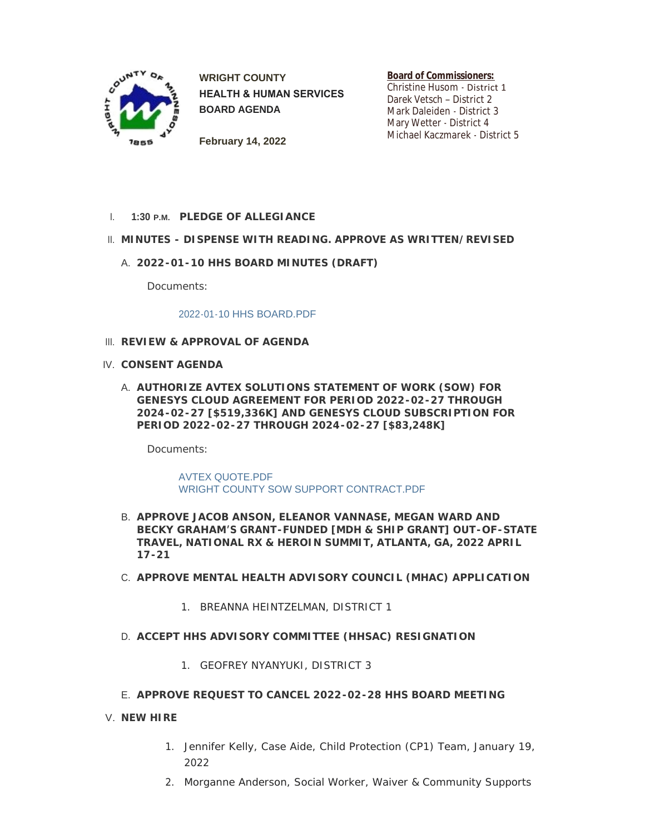

**WRIGHT COUNTY HEALTH & HUMAN SERVICES BOARD AGENDA**

**Board of Commissioners:** Christine Husom - District 1 Darek Vetsch – District 2 Mark Daleiden - District 3 Mary Wetter - District 4 Michael Kaczmarek - District 5

**February 14, 2022**

**PLEDGE OF ALLEGIANCE** I. **1:30 P.M.**

# **MINUTES - DISPENSE WITH READING. APPROVE AS WRITTEN/REVISED** II.

**2022-01-10 HHS BOARD MINUTES (DRAFT)** A.

Documents:

### [2022-01-10 HHS BOARD.PDF](https://www.co.wright.mn.us/AgendaCenter/ViewFile/Item/10346?fileID=22170)

- **REVIEW & APPROVAL OF AGENDA** III.
- **CONSENT AGENDA** IV.
	- **AUTHORIZE AVTEX SOLUTIONS STATEMENT OF WORK (SOW) FOR**  A. **GENESYS CLOUD AGREEMENT FOR PERIOD 2022-02-27 THROUGH 2024-02-27 [\$519,336K] AND GENESYS CLOUD SUBSCRIPTION FOR PERIOD 2022-02-27 THROUGH 2024-02-27 [\$83,248K]**

Documents:

[AVTEX QUOTE.PDF](https://www.co.wright.mn.us/AgendaCenter/ViewFile/Item/10328?fileID=22165) [WRIGHT COUNTY SOW SUPPORT CONTRACT.PDF](https://www.co.wright.mn.us/AgendaCenter/ViewFile/Item/10328?fileID=22166)

- **APPROVE JACOB ANSON, ELEANOR VANNASE, MEGAN WARD AND**  B. **BECKY GRAHAM'S GRANT-FUNDED [MDH & SHIP GRANT] OUT-OF-STATE TRAVEL, NATIONAL RX & HEROIN SUMMIT, ATLANTA, GA, 2022 APRIL 17-21**
- **APPROVE MENTAL HEALTH ADVISORY COUNCIL (MHAC) APPLICATION**  C.
	- 1. BREANNA HEINTZELMAN, DISTRICT 1
- **ACCEPT HHS ADVISORY COMMITTEE (HHSAC) RESIGNATION** D.
	- 1. GEOFREY NYANYUKI, DISTRICT 3
- **APPROVE REQUEST TO CANCEL 2022-02-28 HHS BOARD MEETING** E.
- **NEW HIRE** V.
	- 1. Jennifer Kelly, Case Aide, Child Protection (CP1) Team, January 19, 2022
	- 2. Morganne Anderson, Social Worker, Waiver & Community Supports